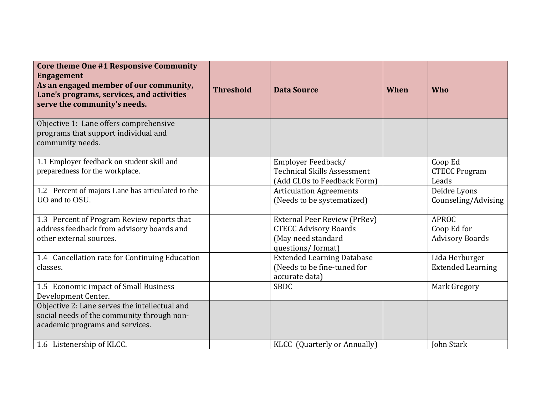| Core theme One #1 Responsive Community<br><b>Engagement</b><br>As an engaged member of our community,<br>Lane's programs, services, and activities<br>serve the community's needs. | <b>Threshold</b> | <b>Data Source</b>                                                                                             | When | Who                                                   |
|------------------------------------------------------------------------------------------------------------------------------------------------------------------------------------|------------------|----------------------------------------------------------------------------------------------------------------|------|-------------------------------------------------------|
| Objective 1: Lane offers comprehensive<br>programs that support individual and<br>community needs.                                                                                 |                  |                                                                                                                |      |                                                       |
| 1.1 Employer feedback on student skill and<br>preparedness for the workplace.                                                                                                      |                  | Employer Feedback/<br><b>Technical Skills Assessment</b><br>(Add CLOs to Feedback Form)                        |      | Coop Ed<br><b>CTECC Program</b><br>Leads              |
| 1.2 Percent of majors Lane has articulated to the<br>UO and to OSU.                                                                                                                |                  | <b>Articulation Agreements</b><br>(Needs to be systematized)                                                   |      | Deidre Lyons<br>Counseling/Advising                   |
| 1.3 Percent of Program Review reports that<br>address feedback from advisory boards and<br>other external sources.                                                                 |                  | <b>External Peer Review (PrRev)</b><br><b>CTECC Advisory Boards</b><br>(May need standard<br>questions/format) |      | <b>APROC</b><br>Coop Ed for<br><b>Advisory Boards</b> |
| 1.4 Cancellation rate for Continuing Education<br>classes.                                                                                                                         |                  | <b>Extended Learning Database</b><br>(Needs to be fine-tuned for<br>accurate data)                             |      | Lida Herburger<br><b>Extended Learning</b>            |
| 1.5 Economic impact of Small Business<br>Development Center.                                                                                                                       |                  | <b>SBDC</b>                                                                                                    |      | Mark Gregory                                          |
| Objective 2: Lane serves the intellectual and<br>social needs of the community through non-<br>academic programs and services.                                                     |                  |                                                                                                                |      |                                                       |
| 1.6 Listenership of KLCC.                                                                                                                                                          |                  | KLCC (Quarterly or Annually)                                                                                   |      | John Stark                                            |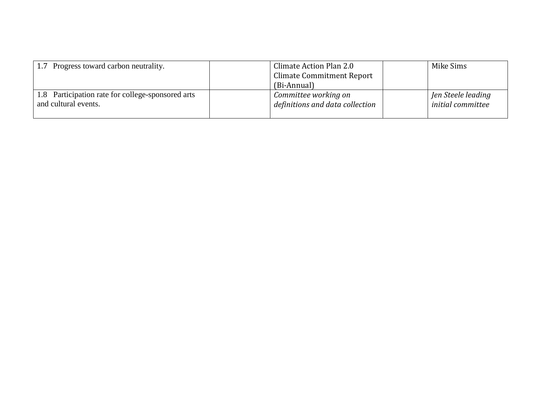| 1.7 Progress toward carbon neutrality.                                    | Climate Action Plan 2.0<br><b>Climate Commitment Report</b>            | Mike Sims                                      |
|---------------------------------------------------------------------------|------------------------------------------------------------------------|------------------------------------------------|
| 1.8 Participation rate for college-sponsored arts<br>and cultural events. | (Bi-Annual)<br>Committee working on<br>definitions and data collection | Jen Steele leading<br><i>initial</i> committee |
|                                                                           |                                                                        |                                                |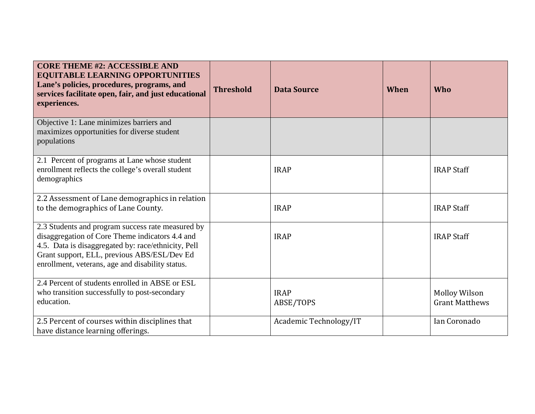| <b>CORE THEME #2: ACCESSIBLE AND</b><br><b>EQUITABLE LEARNING OPPORTUNITIES</b><br>Lane's policies, procedures, programs, and<br>services facilitate open, fair, and just educational<br>experiences.                                                          | <b>Threshold</b> | <b>Data Source</b>       | When | Who                                           |
|----------------------------------------------------------------------------------------------------------------------------------------------------------------------------------------------------------------------------------------------------------------|------------------|--------------------------|------|-----------------------------------------------|
| Objective 1: Lane minimizes barriers and<br>maximizes opportunities for diverse student<br>populations                                                                                                                                                         |                  |                          |      |                                               |
| 2.1 Percent of programs at Lane whose student<br>enrollment reflects the college's overall student<br>demographics                                                                                                                                             |                  | <b>IRAP</b>              |      | <b>IRAP Staff</b>                             |
| 2.2 Assessment of Lane demographics in relation<br>to the demographics of Lane County.                                                                                                                                                                         |                  | <b>IRAP</b>              |      | <b>IRAP Staff</b>                             |
| 2.3 Students and program success rate measured by<br>disaggregation of Core Theme indicators 4.4 and<br>4.5. Data is disaggregated by: race/ethnicity, Pell<br>Grant support, ELL, previous ABS/ESL/Dev Ed<br>enrollment, veterans, age and disability status. |                  | <b>IRAP</b>              |      | <b>IRAP Staff</b>                             |
| 2.4 Percent of students enrolled in ABSE or ESL<br>who transition successfully to post-secondary<br>education.                                                                                                                                                 |                  | <b>IRAP</b><br>ABSE/TOPS |      | <b>Molloy Wilson</b><br><b>Grant Matthews</b> |
| 2.5 Percent of courses within disciplines that<br>have distance learning offerings.                                                                                                                                                                            |                  | Academic Technology/IT   |      | Ian Coronado                                  |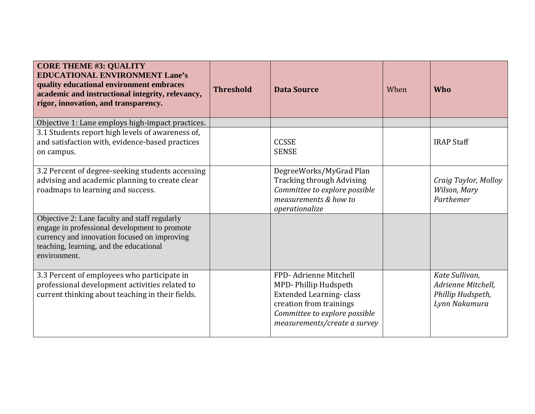| <b>CORE THEME #3: QUALITY</b><br><b>EDUCATIONAL ENVIRONMENT Lane's</b><br>quality educational environment embraces<br>academic and instructional integrity, relevancy,<br>rigor, innovation, and transparency. | <b>Threshold</b> | <b>Data Source</b>                                                                                                                                                          | When | Who                                                                        |
|----------------------------------------------------------------------------------------------------------------------------------------------------------------------------------------------------------------|------------------|-----------------------------------------------------------------------------------------------------------------------------------------------------------------------------|------|----------------------------------------------------------------------------|
| Objective 1: Lane employs high-impact practices.                                                                                                                                                               |                  |                                                                                                                                                                             |      |                                                                            |
| 3.1 Students report high levels of awareness of,<br>and satisfaction with, evidence-based practices<br>on campus.                                                                                              |                  | <b>CCSSE</b><br><b>SENSE</b>                                                                                                                                                |      | <b>IRAP Staff</b>                                                          |
| 3.2 Percent of degree-seeking students accessing<br>advising and academic planning to create clear<br>roadmaps to learning and success.                                                                        |                  | DegreeWorks/MyGrad Plan<br><b>Tracking through Advising</b><br>Committee to explore possible<br>measurements & how to<br>operationalize                                     |      | Craig Taylor, Molloy<br>Wilson, Mary<br>Parthemer                          |
| Objective 2: Lane faculty and staff regularly<br>engage in professional development to promote<br>currency and innovation focused on improving<br>teaching, learning, and the educational<br>environment.      |                  |                                                                                                                                                                             |      |                                                                            |
| 3.3 Percent of employees who participate in<br>professional development activities related to<br>current thinking about teaching in their fields.                                                              |                  | FPD-Adrienne Mitchell<br>MPD-Phillip Hudspeth<br><b>Extended Learning-class</b><br>creation from trainings<br>Committee to explore possible<br>measurements/create a survey |      | Kate Sullivan,<br>Adrienne Mitchell,<br>Phillip Hudspeth,<br>Lynn Nakamura |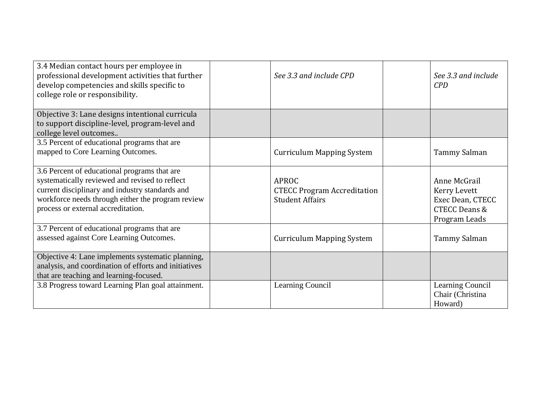| 3.4 Median contact hours per employee in<br>professional development activities that further<br>develop competencies and skills specific to<br>college role or responsibility.                                                               | See 3.3 and include CPD                                               | See 3.3 and include<br>CPD                                                                    |
|----------------------------------------------------------------------------------------------------------------------------------------------------------------------------------------------------------------------------------------------|-----------------------------------------------------------------------|-----------------------------------------------------------------------------------------------|
| Objective 3: Lane designs intentional curricula<br>to support discipline-level, program-level and<br>college level outcomes                                                                                                                  |                                                                       |                                                                                               |
| 3.5 Percent of educational programs that are<br>mapped to Core Learning Outcomes.                                                                                                                                                            | <b>Curriculum Mapping System</b>                                      | Tammy Salman                                                                                  |
| 3.6 Percent of educational programs that are<br>systematically reviewed and revised to reflect<br>current disciplinary and industry standards and<br>workforce needs through either the program review<br>process or external accreditation. | APROC<br><b>CTECC Program Accreditation</b><br><b>Student Affairs</b> | Anne McGrail<br>Kerry Levett<br>Exec Dean, CTECC<br><b>CTECC Deans &amp;</b><br>Program Leads |
| 3.7 Percent of educational programs that are<br>assessed against Core Learning Outcomes.                                                                                                                                                     | <b>Curriculum Mapping System</b>                                      | Tammy Salman                                                                                  |
| Objective 4: Lane implements systematic planning,<br>analysis, and coordination of efforts and initiatives<br>that are teaching and learning-focused.                                                                                        |                                                                       |                                                                                               |
| 3.8 Progress toward Learning Plan goal attainment.                                                                                                                                                                                           | Learning Council                                                      | Learning Council<br>Chair (Christina<br>Howard)                                               |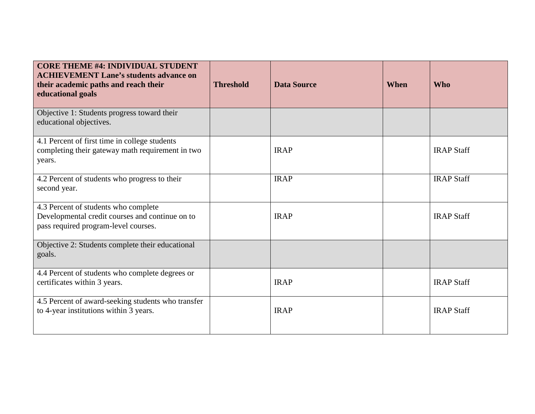| <b>CORE THEME #4: INDIVIDUAL STUDENT</b><br><b>ACHIEVEMENT Lane's students advance on</b><br>their academic paths and reach their<br>educational goals | <b>Threshold</b> | <b>Data Source</b> | When | <b>Who</b>        |
|--------------------------------------------------------------------------------------------------------------------------------------------------------|------------------|--------------------|------|-------------------|
| Objective 1: Students progress toward their<br>educational objectives.                                                                                 |                  |                    |      |                   |
| 4.1 Percent of first time in college students<br>completing their gateway math requirement in two<br>years.                                            |                  | <b>IRAP</b>        |      | <b>IRAP Staff</b> |
| 4.2 Percent of students who progress to their<br>second year.                                                                                          |                  | <b>IRAP</b>        |      | <b>IRAP Staff</b> |
| 4.3 Percent of students who complete<br>Developmental credit courses and continue on to<br>pass required program-level courses.                        |                  | <b>IRAP</b>        |      | <b>IRAP Staff</b> |
| Objective 2: Students complete their educational<br>goals.                                                                                             |                  |                    |      |                   |
| 4.4 Percent of students who complete degrees or<br>certificates within 3 years.                                                                        |                  | <b>IRAP</b>        |      | <b>IRAP Staff</b> |
| 4.5 Percent of award-seeking students who transfer<br>to 4-year institutions within 3 years.                                                           |                  | <b>IRAP</b>        |      | <b>IRAP Staff</b> |